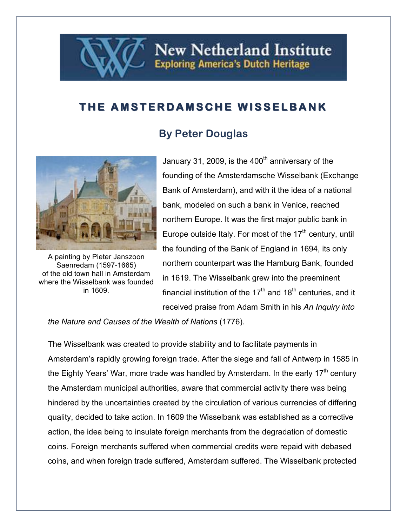## **THE AMSTERDAMSCHE WISSELBANK THE AMSTERDAMSCHE WISSELBANK**

## **By Peter Douglas**



A painting by Pieter Janszoon Saenredam (1597-1665) of the old town hall in Amsterdam where the Wisselbank was founded in 1609.

January 31, 2009, is the 400<sup>th</sup> anniversary of the founding of the Amsterdamsche Wisselbank (Exchange Bank of Amsterdam), and with it the idea of a national bank, modeled on such a bank in Venice, reached northern Europe. It was the first major public bank in Europe outside Italy. For most of the  $17<sup>th</sup>$  century, until the founding of the Bank of England in 1694, its only northern counterpart was the Hamburg Bank, founded in 1619. The Wisselbank grew into the preeminent financial institution of the  $17<sup>th</sup>$  and  $18<sup>th</sup>$  centuries, and it received praise from Adam Smith in his *An Inquiry into* 

**New Netherland Institute** 

**Exploring America's Dutch Heritage** 

*the Nature and Causes of the Wealth of Nations* (1776)*.*

The Wisselbank was created to provide stability and to facilitate payments in Amsterdam's rapidly growing foreign trade. After the siege and fall of Antwerp in 1585 in the Eighty Years' War, more trade was handled by Amsterdam. In the early  $17<sup>th</sup>$  century the Amsterdam municipal authorities, aware that commercial activity there was being hindered by the uncertainties created by the circulation of various currencies of differing quality, decided to take action. In 1609 the Wisselbank was established as a corrective action, the idea being to insulate foreign merchants from the degradation of domestic coins. Foreign merchants suffered when commercial credits were repaid with debased coins, and when foreign trade suffered, Amsterdam suffered. The Wisselbank protected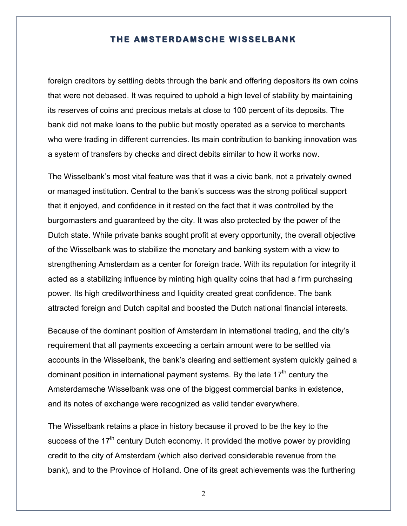## **THE AMSTERDAMSCHE WISSELBANK**

foreign creditors by settling debts through the bank and offering depositors its own coins that were not debased. It was required to uphold a high level of stability by maintaining its reserves of coins and precious metals at close to 100 percent of its deposits. The bank did not make loans to the public but mostly operated as a service to merchants who were trading in different currencies. Its main contribution to banking innovation was a system of transfers by checks and direct debits similar to how it works now.

The Wisselbank's most vital feature was that it was a civic bank, not a privately owned or managed institution. Central to the bank's success was the strong political support that it enjoyed, and confidence in it rested on the fact that it was controlled by the burgomasters and guaranteed by the city. It was also protected by the power of the Dutch state. While private banks sought profit at every opportunity, the overall objective of the Wisselbank was to stabilize the monetary and banking system with a view to strengthening Amsterdam as a center for foreign trade. With its reputation for integrity it acted as a stabilizing influence by minting high quality coins that had a firm purchasing power. Its high creditworthiness and liquidity created great confidence. The bank attracted foreign and Dutch capital and boosted the Dutch national financial interests.

Because of the dominant position of Amsterdam in international trading, and the city's requirement that all payments exceeding a certain amount were to be settled via accounts in the Wisselbank, the bank's clearing and settlement system quickly gained a dominant position in international payment systems. By the late  $17<sup>th</sup>$  century the Amsterdamsche Wisselbank was one of the biggest commercial banks in existence, and its notes of exchange were recognized as valid tender everywhere.

The Wisselbank retains a place in history because it proved to be the key to the success of the  $17<sup>th</sup>$  century Dutch economy. It provided the motive power by providing credit to the city of Amsterdam (which also derived considerable revenue from the bank), and to the Province of Holland. One of its great achievements was the furthering

2